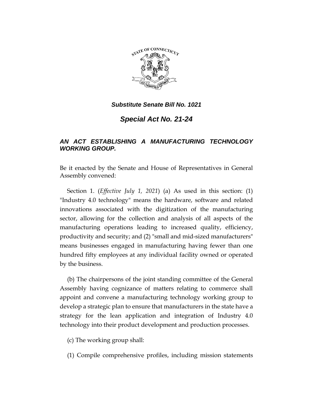

*Substitute Senate Bill No. 1021*

*Special Act No. 21-24*

## *AN ACT ESTABLISHING A MANUFACTURING TECHNOLOGY WORKING GROUP.*

Be it enacted by the Senate and House of Representatives in General Assembly convened:

Section 1. (*Effective July 1, 2021*) (a) As used in this section: (1) "Industry 4.0 technology" means the hardware, software and related innovations associated with the digitization of the manufacturing sector, allowing for the collection and analysis of all aspects of the manufacturing operations leading to increased quality, efficiency, productivity and security; and (2) "small and mid-sized manufacturers" means businesses engaged in manufacturing having fewer than one hundred fifty employees at any individual facility owned or operated by the business.

(b) The chairpersons of the joint standing committee of the General Assembly having cognizance of matters relating to commerce shall appoint and convene a manufacturing technology working group to develop a strategic plan to ensure that manufacturers in the state have a strategy for the lean application and integration of Industry 4.0 technology into their product development and production processes.

(c) The working group shall:

(1) Compile comprehensive profiles, including mission statements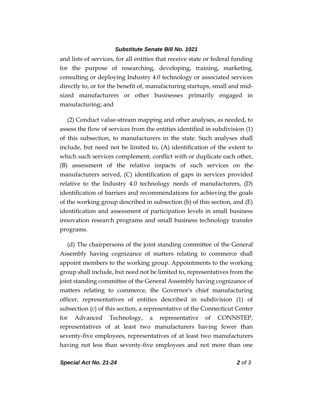## *Substitute Senate Bill No. 1021*

and lists of services, for all entities that receive state or federal funding for the purpose of researching, developing, training, marketing, consulting or deploying Industry 4.0 technology or associated services directly to, or for the benefit of, manufacturing startups, small and midsized manufacturers or other businesses primarily engaged in manufacturing; and

(2) Conduct value-stream mapping and other analyses, as needed, to assess the flow of services from the entities identified in subdivision (1) of this subsection, to manufacturers in the state. Such analyses shall include, but need not be limited to, (A) identification of the extent to which such services complement, conflict with or duplicate each other, (B) assessment of the relative impacts of such services on the manufacturers served, (C) identification of gaps in services provided relative to the Industry 4.0 technology needs of manufacturers, (D) identification of barriers and recommendations for achieving the goals of the working group described in subsection (b) of this section, and (E) identification and assessment of participation levels in small business innovation research programs and small business technology transfer programs.

(d) The chairpersons of the joint standing committee of the General Assembly having cognizance of matters relating to commerce shall appoint members to the working group. Appointments to the working group shall include, but need not be limited to, representatives from the joint standing committee of the General Assembly having cognizance of matters relating to commerce, the Governor's chief manufacturing officer, representatives of entities described in subdivision (1) of subsection (c) of this section, a representative of the Connecticut Center for Advanced Technology, a representative of CONNSTEP, representatives of at least two manufacturers having fewer than seventy-five employees, representatives of at least two manufacturers having not less than seventy-five employees and not more than one